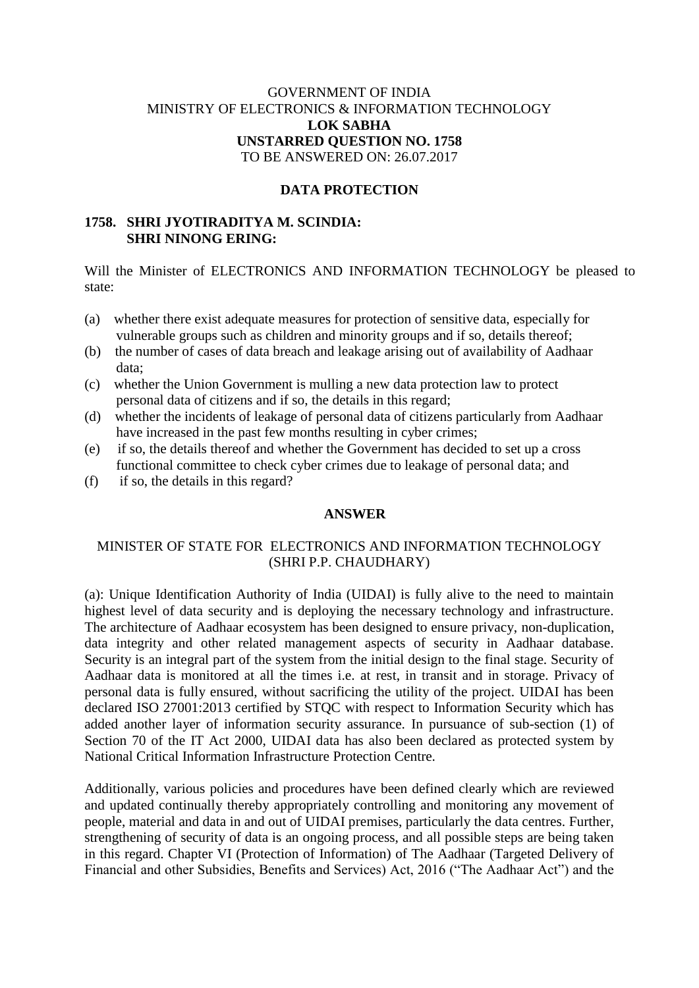# GOVERNMENT OF INDIA MINISTRY OF ELECTRONICS & INFORMATION TECHNOLOGY **LOK SABHA UNSTARRED QUESTION NO. 1758** TO BE ANSWERED ON: 26.07.2017

### **DATA PROTECTION**

### **1758. SHRI JYOTIRADITYA M. SCINDIA: SHRI NINONG ERING:**

Will the Minister of ELECTRONICS AND INFORMATION TECHNOLOGY be pleased to state:

- (a) whether there exist adequate measures for protection of sensitive data, especially for vulnerable groups such as children and minority groups and if so, details thereof;
- (b) the number of cases of data breach and leakage arising out of availability of Aadhaar data;
- (c) whether the Union Government is mulling a new data protection law to protect personal data of citizens and if so, the details in this regard;
- (d) whether the incidents of leakage of personal data of citizens particularly from Aadhaar have increased in the past few months resulting in cyber crimes;
- (e) if so, the details thereof and whether the Government has decided to set up a cross functional committee to check cyber crimes due to leakage of personal data; and
- (f) if so, the details in this regard?

#### **ANSWER**

## MINISTER OF STATE FOR ELECTRONICS AND INFORMATION TECHNOLOGY (SHRI P.P. CHAUDHARY)

(a): Unique Identification Authority of India (UIDAI) is fully alive to the need to maintain highest level of data security and is deploying the necessary technology and infrastructure. The architecture of Aadhaar ecosystem has been designed to ensure privacy, non-duplication, data integrity and other related management aspects of security in Aadhaar database. Security is an integral part of the system from the initial design to the final stage. Security of Aadhaar data is monitored at all the times i.e. at rest, in transit and in storage. Privacy of personal data is fully ensured, without sacrificing the utility of the project. UIDAI has been declared ISO 27001:2013 certified by STQC with respect to Information Security which has added another layer of information security assurance. In pursuance of sub-section (1) of Section 70 of the IT Act 2000, UIDAI data has also been declared as protected system by National Critical Information Infrastructure Protection Centre.

Additionally, various policies and procedures have been defined clearly which are reviewed and updated continually thereby appropriately controlling and monitoring any movement of people, material and data in and out of UIDAI premises, particularly the data centres. Further, strengthening of security of data is an ongoing process, and all possible steps are being taken in this regard. Chapter VI (Protection of Information) of The Aadhaar (Targeted Delivery of Financial and other Subsidies, Benefits and Services) Act, 2016 ("The Aadhaar Act") and the